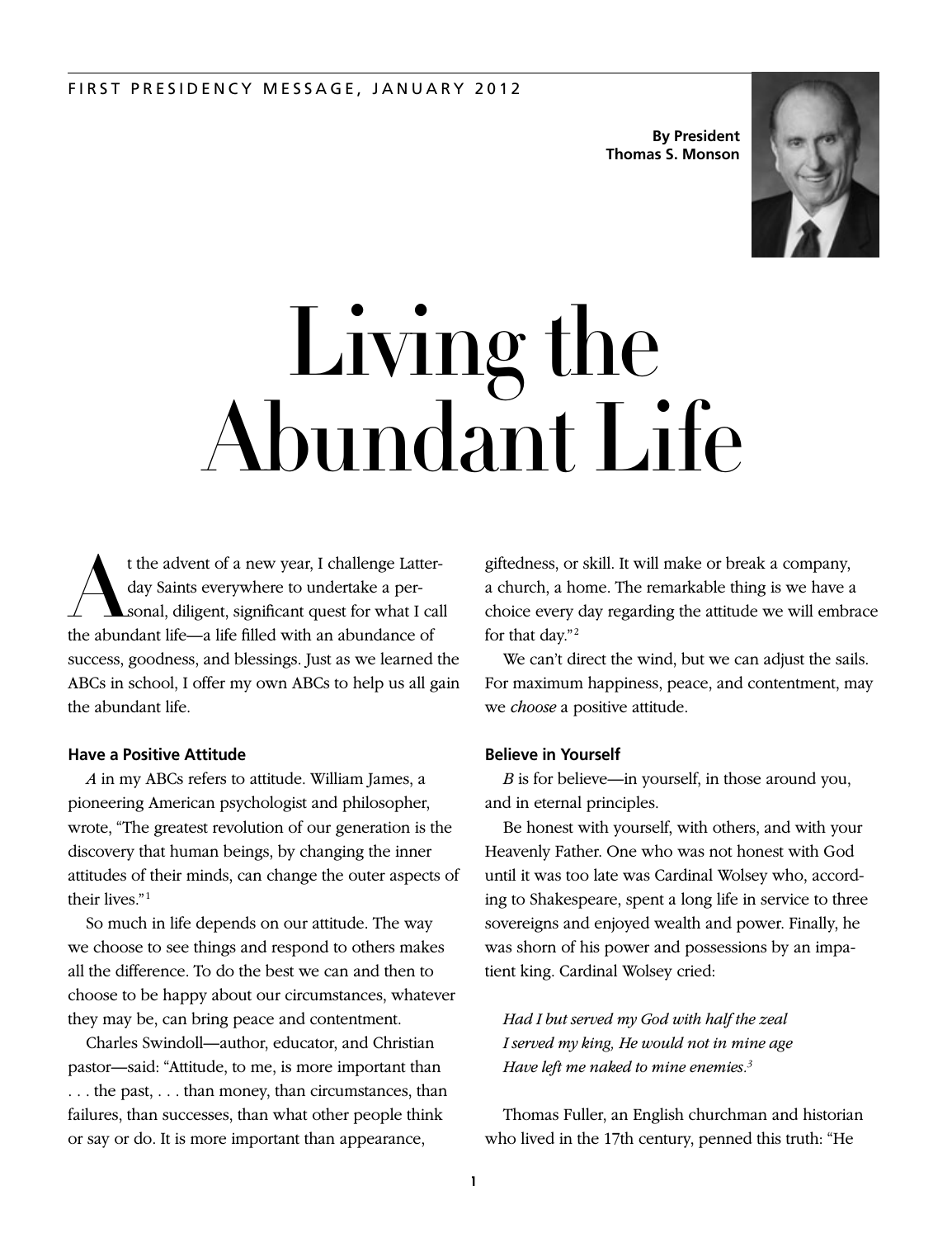**By President Thomas S. Monson**



# Living the Abundant Life

t the advent of a new year, I challenge Latterday Saints everywhere to undertake a personal, diligent, significant quest for what I call the abundant life—a life filled with an abundance of success, goodness, and blessings. Just as we learned the ABCs in school, I offer my own ABCs to help us all gain the abundant life.

# **Have a Positive Attitude**

*A* in my ABCs refers to attitude. William James, a pioneering American psychologist and philosopher, wrote, "The greatest revolution of our generation is the discovery that human beings, by changing the inner attitudes of their minds, can change the outer aspects of their lives."<sup>1</sup>

So much in life depends on our attitude. The way we choose to see things and respond to others makes all the difference. To do the best we can and then to choose to be happy about our circumstances, whatever they may be, can bring peace and contentment.

Charles Swindoll—author, educator, and Christian pastor—said: "Attitude, to me, is more important than . . . the past, . . . than money, than circumstances, than failures, than successes, than what other people think or say or do. It is more important than appearance,

giftedness, or skill. It will make or break a company, a church, a home. The remarkable thing is we have a choice every day regarding the attitude we will embrace for that day."<sup>2</sup>

We can't direct the wind, but we can adjust the sails. For maximum happiness, peace, and contentment, may we *choose* a positive attitude.

### **Believe in Yourself**

*B* is for believe—in yourself, in those around you, and in eternal principles.

Be honest with yourself, with others, and with your Heavenly Father. One who was not honest with God until it was too late was Cardinal Wolsey who, according to Shakespeare, spent a long life in service to three sovereigns and enjoyed wealth and power. Finally, he was shorn of his power and possessions by an impatient king. Cardinal Wolsey cried:

*Had I but served my God with half the zeal I served my king, He would not in mine age Have left me naked to mine enemies.3*

Thomas Fuller, an English churchman and historian who lived in the 17th century, penned this truth: "He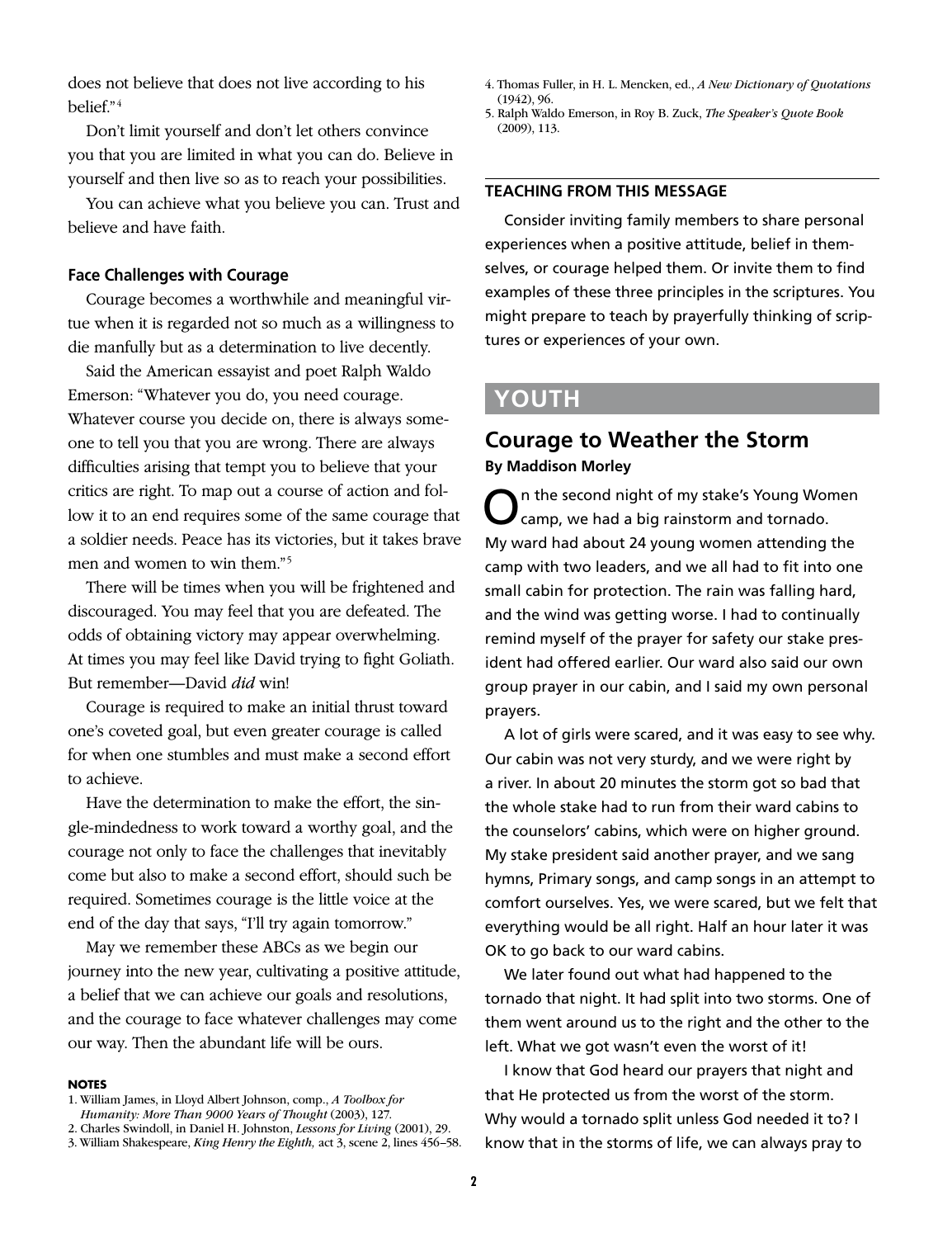does not believe that does not live according to his belief." 4

Don't limit yourself and don't let others convince you that you are limited in what you can do. Believe in yourself and then live so as to reach your possibilities.

You can achieve what you believe you can. Trust and believe and have faith.

# **Face Challenges with Courage**

Courage becomes a worthwhile and meaningful virtue when it is regarded not so much as a willingness to die manfully but as a determination to live decently.

Said the American essayist and poet Ralph Waldo Emerson: "Whatever you do, you need courage. Whatever course you decide on, there is always someone to tell you that you are wrong. There are always difficulties arising that tempt you to believe that your critics are right. To map out a course of action and follow it to an end requires some of the same courage that a soldier needs. Peace has its victories, but it takes brave men and women to win them."<sup>5</sup>

There will be times when you will be frightened and discouraged. You may feel that you are defeated. The odds of obtaining victory may appear overwhelming. At times you may feel like David trying to fight Goliath. But remember—David *did* win!

Courage is required to make an initial thrust toward one's coveted goal, but even greater courage is called for when one stumbles and must make a second effort to achieve.

Have the determination to make the effort, the single-mindedness to work toward a worthy goal, and the courage not only to face the challenges that inevitably come but also to make a second effort, should such be required. Sometimes courage is the little voice at the end of the day that says, "I'll try again tomorrow."

May we remember these ABCs as we begin our journey into the new year, cultivating a positive attitude, a belief that we can achieve our goals and resolutions, and the courage to face whatever challenges may come our way. Then the abundant life will be ours.

### **NOTES**

- 1. William James, in Lloyd Albert Johnson, comp., *A Toolbox for Humanity: More Than 9000 Years of Thought* (2003), 127.
- 2. Charles Swindoll, in Daniel H. Johnston, *Lessons for Living* (2001), 29.

4. Thomas Fuller, in H. L. Mencken, ed., *A New Dictionary of Quotations* (1942), 96.

5. Ralph Waldo Emerson, in Roy B. Zuck, *The Speaker's Quote Book* (2009), 113.

# **TEACHING FROM THIS MESSAGE**

Consider inviting family members to share personal experiences when a positive attitude, belief in themselves, or courage helped them. Or invite them to find examples of these three principles in the scriptures. You might prepare to teach by prayerfully thinking of scriptures or experiences of your own.

# **YOUTH**

# **Courage to Weather the Storm By Maddison Morley**

On the second night of my stake's Young Women camp, we had a big rainstorm and tornado. My ward had about 24 young women attending the camp with two leaders, and we all had to fit into one small cabin for protection. The rain was falling hard, and the wind was getting worse. I had to continually remind myself of the prayer for safety our stake president had offered earlier. Our ward also said our own group prayer in our cabin, and I said my own personal prayers.

A lot of girls were scared, and it was easy to see why. Our cabin was not very sturdy, and we were right by a river. In about 20 minutes the storm got so bad that the whole stake had to run from their ward cabins to the counselors' cabins, which were on higher ground. My stake president said another prayer, and we sang hymns, Primary songs, and camp songs in an attempt to comfort ourselves. Yes, we were scared, but we felt that everything would be all right. Half an hour later it was OK to go back to our ward cabins.

We later found out what had happened to the tornado that night. It had split into two storms. One of them went around us to the right and the other to the left. What we got wasn't even the worst of it!

I know that God heard our prayers that night and that He protected us from the worst of the storm. Why would a tornado split unless God needed it to? I know that in the storms of life, we can always pray to

<sup>3.</sup> William Shakespeare, *King Henry the Eighth,* act 3, scene 2, lines 456–58.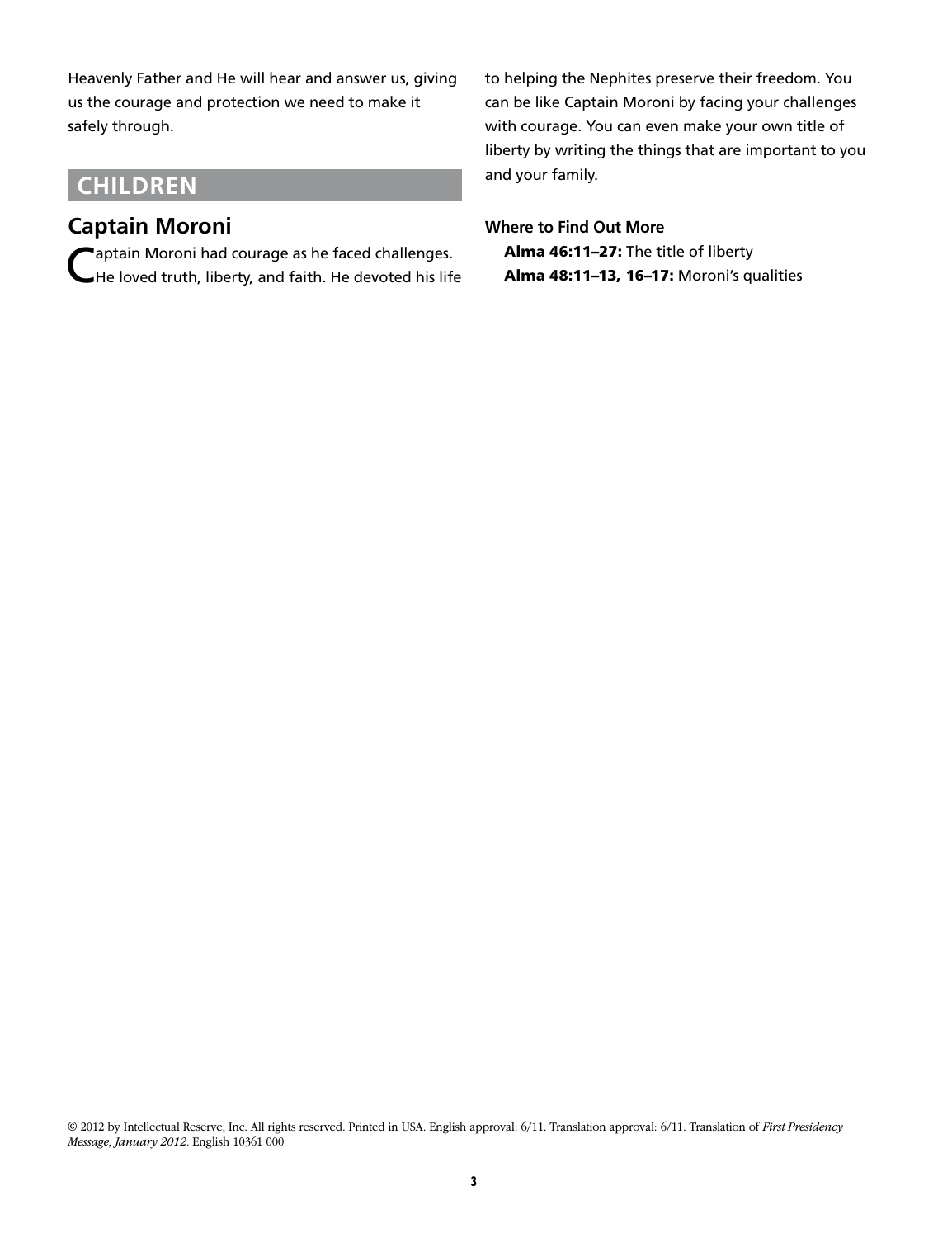Heavenly Father and He will hear and answer us, giving us the courage and protection we need to make it safely through.

# **CHILDREN**

# **Captain Moroni**

Captain Moroni had courage as he faced challenges.<br>CHe loved truth, liberty, and faith. He devoted his life

to helping the Nephites preserve their freedom. You can be like Captain Moroni by facing your challenges with courage. You can even make your own title of liberty by writing the things that are important to you and your family.

# **Where to Find Out More**

Alma 46:11–27: The title of liberty Alma 48:11–13, 16–17: Moroni's qualities

© 2012 by Intellectual Reserve, Inc. All rights reserved. Printed in USA. English approval: 6/11. Translation approval: 6/11. Translation of *First Presidency Message, January 2012.* English 10361 000